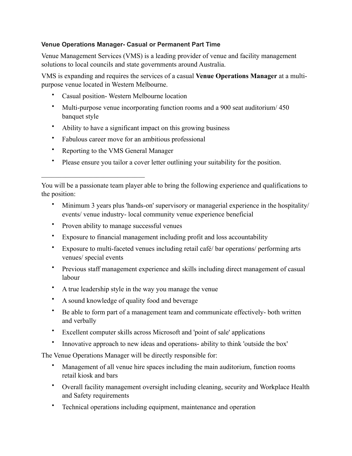## **Venue Operations Manager- Casual or Permanent Part Time**

Venue Management Services (VMS) is a leading provider of venue and facility management solutions to local councils and state governments around Australia.

VMS is expanding and requires the services of a casual **Venue Operations Manager** at a multipurpose venue located in Western Melbourne.

- Casual position- Western Melbourne location
- Multi-purpose venue incorporating function rooms and a 900 seat auditorium/ 450 banquet style
- Ability to have a significant impact on this growing business
- Fabulous career move for an ambitious professional
- Reporting to the VMS General Manager

 $\mathcal{L}_\text{max}$  , where  $\mathcal{L}_\text{max}$  and  $\mathcal{L}_\text{max}$ 

• Please ensure you tailor a cover letter outlining your suitability for the position.

- Minimum 3 years plus 'hands-on' supervisory or managerial experience in the hospitality/ events/ venue industry- local community venue experience beneficial
- Proven ability to manage successful venues
- Exposure to financial management including profit and loss accountability
- Exposure to multi-faceted venues including retail café/ bar operations/ performing arts venues/ special events
- Previous staff management experience and skills including direct management of casual labour
- A true leadership style in the way you manage the venue
- A sound knowledge of quality food and beverage
- Be able to form part of a management team and communicate effectively- both written and verbally
- Excellent computer skills across Microsoft and 'point of sale' applications
- Innovative approach to new ideas and operations- ability to think 'outside the box'

The Venue Operations Manager will be directly responsible for:

- Management of all venue hire spaces including the main auditorium, function rooms retail kiosk and bars
- Overall facility management oversight including cleaning, security and Workplace Health and Safety requirements
- Technical operations including equipment, maintenance and operation

You will be a passionate team player able to bring the following experience and qualifications to the position: